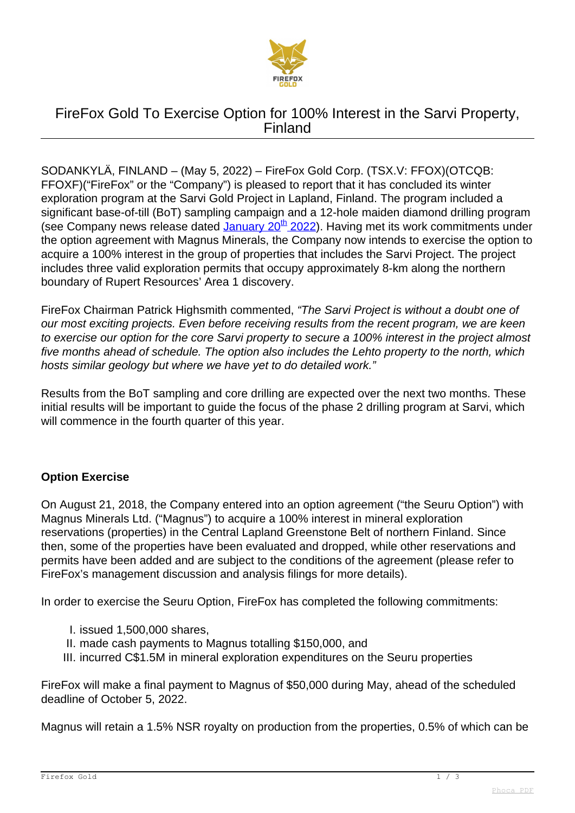

# FireFox Gold To Exercise Option for 100% Interest in the Sarvi Property, Finland

SODANKYLÄ, FINLAND – (May 5, 2022) – FireFox Gold Corp. (TSX.V: FFOX)(OTCQB: FFOXF)("FireFox" or the "Company") is pleased to report that it has concluded its winter exploration program at the Sarvi Gold Project in Lapland, Finland. The program included a significant base-of-till (BoT) sampling campaign and a 12-hole maiden diamond drilling program dig Company news release dated [January 20](index.php/news/news-2022/222-firefox-gold-moves-drill-to-next-promising-target-sarvi-project-finland)<sup>[th](index.php/news/news-2022/222-firefox-gold-moves-drill-to-next-promising-target-sarvi-project-finland)</sup> [2022](index.php/news/news-2022/222-firefox-gold-moves-drill-to-next-promising-target-sarvi-project-finland)). Having met its work commitments under the option agreement with Magnus Minerals, the Company now intends to exercise the option to acquire a 100% interest in the group of properties that includes the Sarvi Project. The project includes three valid exploration permits that occupy approximately 8-km along the northern boundary of Rupert Resources' Area 1 discovery.

FireFox Chairman Patrick Highsmith commented, "The Sarvi Project is without a doubt one of our most exciting projects. Even before receiving results from the recent program, we are keen to exercise our option for the core Sarvi property to secure a 100% interest in the project almost five months ahead of schedule. The option also includes the Lehto property to the north, which hosts similar geology but where we have yet to do detailed work."

Results from the BoT sampling and core drilling are expected over the next two months. These initial results will be important to guide the focus of the phase 2 drilling program at Sarvi, which will commence in the fourth quarter of this year.

### **Option Exercise**

On August 21, 2018, the Company entered into an option agreement ("the Seuru Option") with Magnus Minerals Ltd. ("Magnus") to acquire a 100% interest in mineral exploration reservations (properties) in the Central Lapland Greenstone Belt of northern Finland. Since then, some of the properties have been evaluated and dropped, while other reservations and permits have been added and are subject to the conditions of the agreement (please refer to FireFox's management discussion and analysis filings for more details).

In order to exercise the Seuru Option, FireFox has completed the following commitments:

- I. issued 1,500,000 shares,
- II. made cash payments to Magnus totalling \$150,000, and
- III. incurred C\$1.5M in mineral exploration expenditures on the Seuru properties

FireFox will make a final payment to Magnus of \$50,000 during May, ahead of the scheduled deadline of October 5, 2022.

Magnus will retain a 1.5% NSR royalty on production from the properties, 0.5% of which can be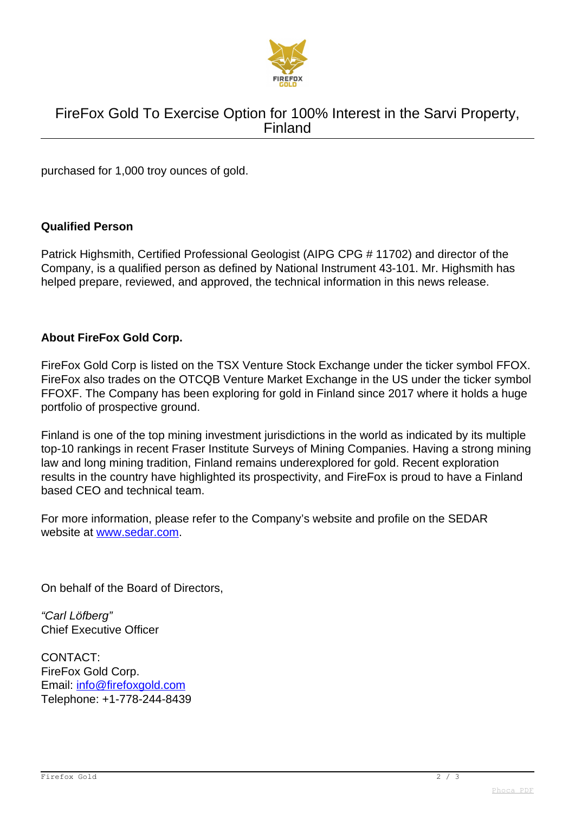

# FireFox Gold To Exercise Option for 100% Interest in the Sarvi Property, Finland

purchased for 1,000 troy ounces of gold.

#### **Qualified Person**

Patrick Highsmith, Certified Professional Geologist (AIPG CPG # 11702) and director of the Company, is a qualified person as defined by National Instrument 43-101. Mr. Highsmith has helped prepare, reviewed, and approved, the technical information in this news release.

### **About FireFox Gold Corp.**

FireFox Gold Corp is listed on the TSX Venture Stock Exchange under the ticker symbol FFOX. FireFox also trades on the OTCQB Venture Market Exchange in the US under the ticker symbol FFOXF. The Company has been exploring for gold in Finland since 2017 where it holds a huge portfolio of prospective ground.

Finland is one of the top mining investment jurisdictions in the world as indicated by its multiple top-10 rankings in recent Fraser Institute Surveys of Mining Companies. Having a strong mining law and long mining tradition, Finland remains underexplored for gold. Recent exploration results in the country have highlighted its prospectivity, and FireFox is proud to have a Finland based CEO and technical team.

For more information, please refer to the Company's website and profile on the SEDAR website at [www.sedar.com](http://www.sedar.com).

On behalf of the Board of Directors,

"Carl Löfberg" Chief Executive Officer

CONTACT: FireFox Gold Corp. Email: [info@firefoxgold.com](mailto:info@firefoxgold.com) Telephone: +1-778-244-8439